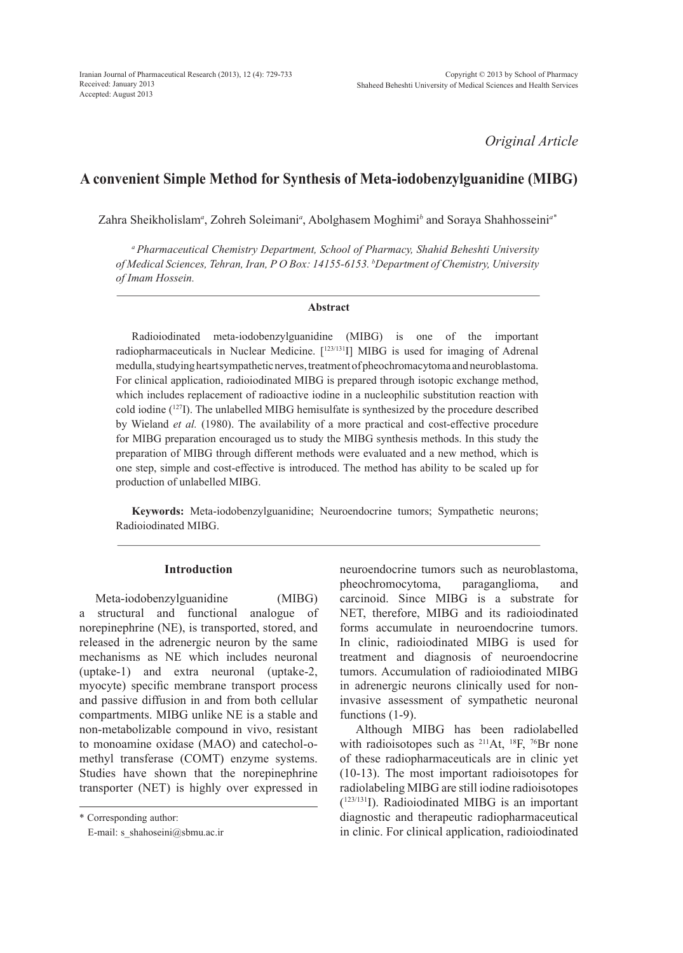*Original Article*

# **A convenient Simple Method for Synthesis of Meta-iodobenzylguanidine (MIBG)**

Zahra Sheikholislam<sup>a</sup>, Zohreh Soleimani<sup>a</sup>, Abolghasem Moghimi<sup>b</sup> and Soraya Shahhosseini<sup>a\*</sup>

*a Pharmaceutical Chemistry Department, School of Pharmacy, Shahid Beheshti University of Medical Sciences, Tehran, Iran, P O Box: 14155-6153. b Department of Chemistry, University of Imam Hossein.*

## **Abstract**

Radioiodinated meta-iodobenzylguanidine (MIBG) is one of the important radiopharmaceuticals in Nuclear Medicine.  $[123/131]$  MIBG is used for imaging of Adrenal medulla, studying heartsympathetic nerves, treatment of pheochromacytoma and neuroblastoma. For clinical application, radioiodinated MIBG is prepared through isotopic exchange method, which includes replacement of radioactive iodine in a nucleophilic substitution reaction with cold iodine  $(127)$ . The unlabelled MIBG hemisulfate is synthesized by the procedure described by Wieland *et al.* (1980). The availability of a more practical and cost-effective procedure for MIBG preparation encouraged us to study the MIBG synthesis methods. In this study the preparation of MIBG through different methods were evaluated and a new method, which is one step, simple and cost-effective is introduced. The method has ability to be scaled up for production of unlabelled MIBG.

**Keywords:** Meta-iodobenzylguanidine; Neuroendocrine tumors; Sympathetic neurons; Radioiodinated MIBG.

#### **Introduction**

Meta-iodobenzylguanidine (MIBG) a structural and functional analogue of norepinephrine (NE), is transported, stored, and released in the adrenergic neuron by the same mechanisms as NE which includes neuronal (uptake-1) and extra neuronal (uptake-2, myocyte) specific membrane transport process and passive diffusion in and from both cellular compartments. MIBG unlike NE is a stable and non-metabolizable compound in vivo, resistant to monoamine oxidase (MAO) and catechol-omethyl transferase (COMT) enzyme systems. Studies have shown that the norepinephrine transporter (NET) is highly over expressed in

\* Corresponding author:

E-mail: s\_shahoseini@sbmu.ac.ir

neuroendocrine tumors such as neuroblastoma, pheochromocytoma, paraganglioma, and carcinoid. Since MIBG is a substrate for NET, therefore, MIBG and its radioiodinated forms accumulate in neuroendocrine tumors. In clinic, radioiodinated MIBG is used for treatment and diagnosis of neuroendocrine tumors. Accumulation of radioiodinated MIBG in adrenergic neurons clinically used for noninvasive assessment of sympathetic neuronal functions  $(1-9)$ .

Although MIBG has been radiolabelled with radioisotopes such as <sup>211</sup>At, <sup>18</sup>F, <sup>76</sup>Br none of these radiopharmaceuticals are in clinic yet (10-13). The most important radioisotopes for radiolabeling MIBG are still iodine radioisotopes (123/131I). Radioiodinated MIBG is an important diagnostic and therapeutic radiopharmaceutical in clinic. For clinical application, radioiodinated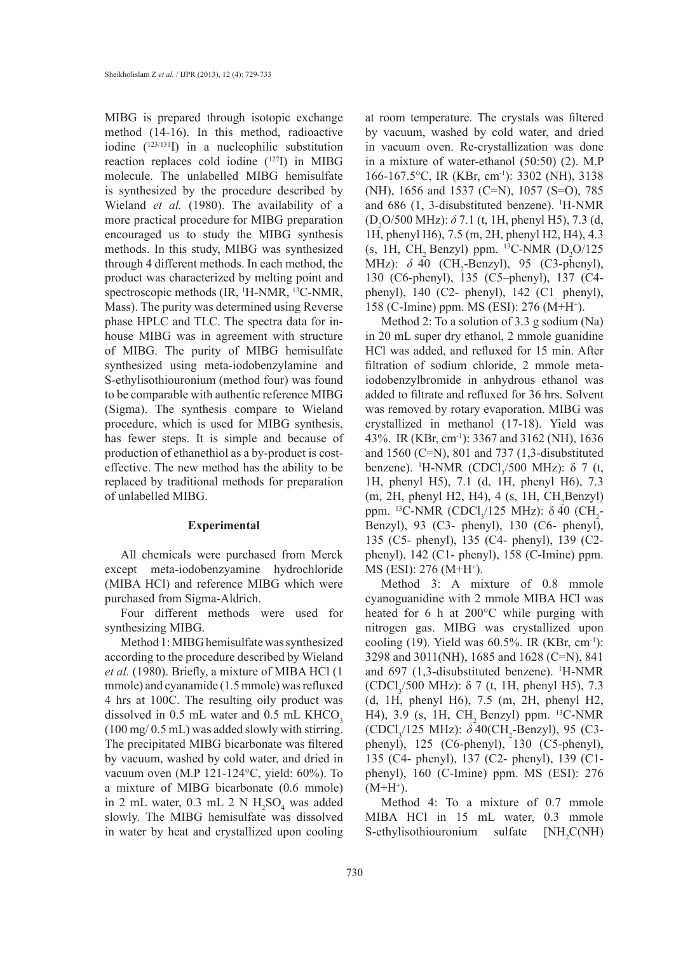MIBG is prepared through isotopic exchange method (14-16). In this method, radioactive iodine  $(^{123/131}I)$  in a nucleophilic substitution reaction replaces cold iodine (127I) in MIBG molecule. The unlabelled MIBG hemisulfate is synthesized by the procedure described by Wieland *et al.* (1980). The availability of a more practical procedure for MIBG preparation encouraged us to study the MIBG synthesis methods. In this study, MIBG was synthesized through 4 different methods. In each method, the product was characterized by melting point and spectroscopic methods (IR, <sup>1</sup>H-NMR, <sup>13</sup>C-NMR, Mass). The purity was determined using Reverse phase HPLC and TLC. The spectra data for inhouse MIBG was in agreement with structure of MIBG. The purity of MIBG hemisulfate synthesized using meta-iodobenzylamine and S-ethylisothiouronium (method four) was found to be comparable with authentic reference MIBG (Sigma). The synthesis compare to Wieland procedure, which is used for MIBG synthesis, has fewer steps. It is simple and because of production of ethanethiol as a by-product is costeffective. The new method has the ability to be replaced by traditional methods for preparation of unlabelled MIBG.

## **Experimental**

All chemicals were purchased from Merck except meta-iodobenzyamine hydrochloride (MIBA HCl) and reference MIBG which were purchased from Sigma-Aldrich.

Four different methods were used for synthesizing MIBG.

Method 1: MIBG hemisulfate was synthesized according to the procedure described by Wieland *et al.* (1980). Briefly, a mixture of MIBA HCl (1 mmole) and cyanamide (1.5 mmole) was refluxed 4 hrs at 100C. The resulting oily product was dissolved in  $0.5$  mL water and  $0.5$  mL KHCO<sub>3</sub> (100 mg/ 0.5 mL) was added slowly with stirring. The precipitated MIBG bicarbonate was filtered by vacuum, washed by cold water, and dried in vacuum oven (M.P 121-124°C, yield: 60%). To a mixture of MIBG bicarbonate (0.6 mmole) in 2 mL water,  $0.3$  mL 2 N  $H_2SO_4$  was added slowly. The MIBG hemisulfate was dissolved in water by heat and crystallized upon cooling at room temperature. The crystals was filtered by vacuum, washed by cold water, and dried in vacuum oven. Re-crystallization was done in a mixture of water-ethanol (50:50) (2). M.P 166-167.5°C, IR (KBr, cm-1): 3302 (NH), 3138 (NH), 1656 and 1537 (C=N), 1057 (S=O), 785 and  $686$  (1, 3-disubstituted benzene). <sup>1</sup>H-NMR  $(D_2O/500 \text{ MHz})$ :  $\delta$  7.1 (t, 1H, phenyl H5), 7.3 (d, 1H, phenyl H6), 7.5 (m, 2H, phenyl H2, H4), 4.3 (s, 1H, CH<sub>2</sub> Benzyl) ppm. <sup>13</sup>C-NMR (D<sub>2</sub>O/125 MHz):  $\delta$  40 (CH<sub>2</sub>-Benzyl), 95 (C3-phenyl), 130 (C6-phenyl), 135 (C5–phenyl), 137 (C4 phenyl), 140 (C2- phenyl), 142 (C1<sub>-</sub> phenyl), 158 (C-Imine) ppm. MS (ESI): 276 (M+H+ ).

Method 2: To a solution of 3.3 g sodium (Na) in 20 mL super dry ethanol, 2 mmole guanidine HCl was added, and refluxed for 15 min. After filtration of sodium chloride, 2 mmole metaiodobenzylbromide in anhydrous ethanol was added to filtrate and refluxed for 36 hrs. Solvent was removed by rotary evaporation. MIBG was crystallized in methanol (17-18). Yield was 43%. IR (KBr, cm-1): 3367 and 3162 (NH), 1636 and 1560 (C=N), 801 and 737 (1,3-disubstituted benzene). <sup>1</sup>H-NMR (CDCl<sub>3</sub>/500 MHz):  $\delta$  7 (t, 1H, phenyl H5), 7.1 (d, 1H, phenyl H6), 7.3  $(m, 2H,$  phenyl H2, H4), 4 (s, 1H,  $CH_2$ Benzyl) ppm. <sup>13</sup>C-NMR (CDCl<sub>3</sub>/125 MHz): δ 40 (CH<sub>2</sub>-Benzyl), 93 (C3- phenyl), 130 (C6- phenyl), 135 (C5- phenyl), 135 (C4- phenyl), 139 (C2 phenyl), 142 (C1- phenyl), 158 (C-Imine) ppm.  $MS (ESI): 276 (M+H^{+}).$ 

Method 3: A mixture of 0.8 mmole cyanoguanidine with 2 mmole MIBA HCl was heated for 6 h at 200°C while purging with nitrogen gas. MIBG was crystallized upon cooling (19). Yield was  $60.5\%$ . IR (KBr, cm<sup>-1</sup>): 3298 and 3011(NH), 1685 and 1628 (C=N), 841 and 697 (1,3-disubstituted benzene). <sup>1</sup>H-NMR (CDCl<sub>3</sub>/500 MHz):  $\delta$  7 (t, 1H, phenyl H5), 7.3 (d, 1H, phenyl H6), 7.5 (m, 2H, phenyl H2, H4), 3.9 (s, 1H, CH, Benzyl) ppm. <sup>13</sup>C-NMR  $(CDCl_{3}$ /125 MHz):  $\delta$  40(CH<sub>2</sub>-Benzyl), 95 (C3phenyl), 125 (C6-phenyl), 130 (C5-phenyl), 135 (C4- phenyl), 137 (C2- phenyl), 139 (C1 phenyl), 160 (C-Imine) ppm. MS (ESI): 276  $(M+H^{+})$ .

Method 4: To a mixture of 0.7 mmole MIBA HCl in 15 mL water, 0.3 mmole S-ethylisothiouronium sulfate  $[NH_2C(NH)]$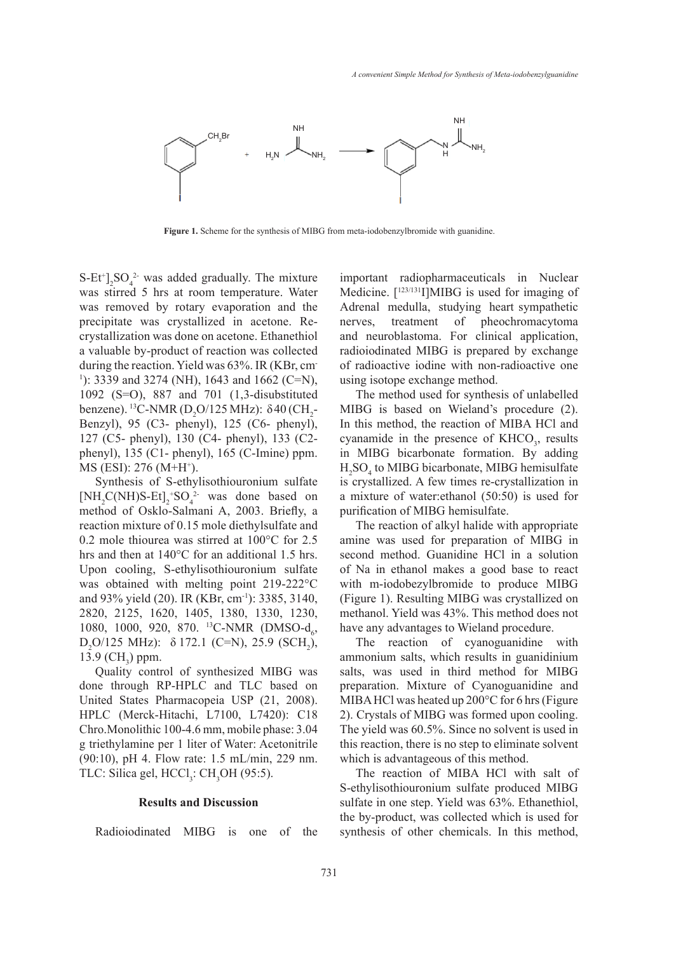

**Figure 1.** Scheme for the synthesis of MIBG from meta-iodobenzylbromide with guanidine.

 $S-Et^{+}$ <sub>2</sub> $SO_4^2$  was added gradually. The mixture was stirred 5 hrs at room temperature. Water was removed by rotary evaporation and the precipitate was crystallized in acetone. Recrystallization was done on acetone. Ethanethiol a valuable by-product of reaction was collected during the reaction. Yield was 63%. IR (KBr, cm-<sup>1</sup>): 3339 and 3274 (NH), 1643 and 1662 (C=N), 1092 (S=O), 887 and 701 (1,3-disubstituted benzene). <sup>13</sup>C-NMR (D<sub>2</sub>O/125 MHz):  $\delta 40$  (CH<sub>2</sub>-Benzyl), 95 (C3- phenyl), 125 (C6- phenyl), 127 (C5- phenyl), 130 (C4- phenyl), 133 (C2 phenyl), 135 (C1- phenyl), 165 (C-Imine) ppm.  $MS$  (ESI): 276 (M+H<sup>+</sup>).

Synthesis of S-ethylisothiouronium sulfate  $[NH_2C(NH)S-Et]_2^SSO_4^2$  was done based on method of Osklo-Salmani A, 2003. Briefly, a reaction mixture of 0.15 mole diethylsulfate and 0.2 mole thiourea was stirred at 100°C for 2.5 hrs and then at 140°C for an additional 1.5 hrs. Upon cooling, S-ethylisothiouronium sulfate was obtained with melting point 219-222°C and 93% yield (20). IR (KBr, cm-1): 3385, 3140, 2820, 2125, 1620, 1405, 1380, 1330, 1230, 1080, 1000, 920, 870. <sup>13</sup>C-NMR (DMSO- $d_6$ ,  $D_2O/125 \text{ MHz}$ ):  $\delta$  172.1 (C=N), 25.9 (SCH<sub>2</sub>),  $13.9$  (CH<sub>3</sub>) ppm.

Quality control of synthesized MIBG was done through RP-HPLC and TLC based on United States Pharmacopeia USP (21, 2008). HPLC (Merck-Hitachi, L7100, L7420): C18 Chro.Monolithic 100-4.6 mm, mobile phase: 3.04 g triethylamine per 1 liter of Water: Acetonitrile (90:10), pH 4. Flow rate: 1.5 mL/min, 229 nm. TLC: Silica gel,  $HCCl<sub>3</sub>$ : CH<sub>3</sub>OH (95:5).

#### **Results and Discussion**

Radioiodinated MIBG is one of the

important radiopharmaceuticals in Nuclear Medicine.  $[123/131]$ MIBG is used for imaging of Adrenal medulla, studying heart sympathetic nerves, treatment of pheochromacytoma and neuroblastoma. For clinical application, radioiodinated MIBG is prepared by exchange of radioactive iodine with non-radioactive one using isotope exchange method.

The method used for synthesis of unlabelled MIBG is based on Wieland's procedure (2). In this method, the reaction of MIBA HCl and cyanamide in the presence of  $KHCO<sub>3</sub>$ , results in MIBG bicarbonate formation. By adding  $H<sub>2</sub>SO<sub>4</sub>$  to MIBG bicarbonate, MIBG hemisulfate is crystallized. A few times re-crystallization in a mixture of water:ethanol (50:50) is used for purification of MIBG hemisulfate.

The reaction of alkyl halide with appropriate amine was used for preparation of MIBG in second method. Guanidine HCl in a solution of Na in ethanol makes a good base to react with m-iodobezylbromide to produce MIBG (Figure 1). Resulting MIBG was crystallized on methanol. Yield was 43%. This method does not have any advantages to Wieland procedure.

The reaction of cyanoguanidine with ammonium salts, which results in guanidinium salts, was used in third method for MIBG preparation. Mixture of Cyanoguanidine and MIBA HCl was heated up 200°C for 6 hrs (Figure 2). Crystals of MIBG was formed upon cooling. The yield was 60.5%. Since no solvent is used in this reaction, there is no step to eliminate solvent which is advantageous of this method.

The reaction of MIBA HCl with salt of S-ethylisothiouronium sulfate produced MIBG sulfate in one step. Yield was 63%. Ethanethiol, the by-product, was collected which is used for synthesis of other chemicals. In this method,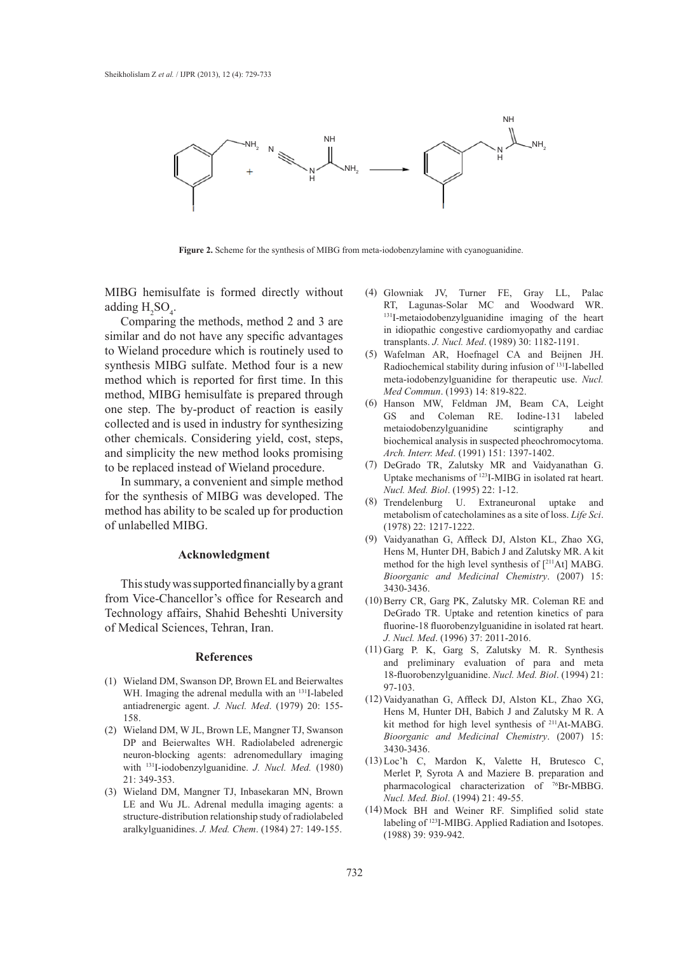

**Figure 2.** Scheme for the synthesis of MIBG from meta-iodobenzylamine with cyanoguanidine.

MIBG hemisulfate is formed directly without adding  $H_2SO_4$ .

Comparing the methods, method 2 and 3 are similar and do not have any specific advantages to Wieland procedure which is routinely used to synthesis MIBG sulfate. Method four is a new method which is reported for first time. In this method, MIBG hemisulfate is prepared through one step. The by-product of reaction is easily collected and is used in industry for synthesizing other chemicals. Considering yield, cost, steps, and simplicity the new method looks promising to be replaced instead of Wieland procedure.

In summary, a convenient and simple method for the synthesis of MIBG was developed. The method has ability to be scaled up for production of unlabelled MIBG.

### **Acknowledgment**

This study was supported financially by a grant from Vice-Chancellor's office for Research and Technology affairs, Shahid Beheshti University of Medical Sciences, Tehran, Iran.

#### **References**

- Wieland DM, Swanson DP, Brown EL and Beierwaltes (1) WH. Imaging the adrenal medulla with an <sup>131</sup>I-labeled antiadrenergic agent. *J. Nucl. Med*. (1979) 20: 155- 158.
- Wieland DM, W JL, Brown LE, Mangner TJ, Swanson (2) DP and Beierwaltes WH. Radiolabeled adrenergic neuron-blocking agents: adrenomedullary imaging with 131I-iodobenzylguanidine. *J. Nucl. Med.* (1980) 21: 349-353.
- Wieland DM, Mangner TJ, Inbasekaran MN, Brown (3) LE and Wu JL. Adrenal medulla imaging agents: a structure-distribution relationship study of radiolabeled aralkylguanidines. *J. Med. Chem*. (1984) 27: 149-155.
- Glowniak JV, Turner FE, Gray LL, Palac (4) RT, Lagunas-Solar MC and Woodward WR. 131I-metaiodobenzylguanidine imaging of the heart in idiopathic congestive cardiomyopathy and cardiac transplants. *J. Nucl. Med*. (1989) 30: 1182-1191.
- Wafelman AR, Hoefnagel CA and Beijnen JH. (5) Radiochemical stability during infusion of 131I-labelled meta-iodobenzylguanidine for therapeutic use. *Nucl. Med Commun*. (1993) 14: 819-822.
- (6) Hanson MW, Feldman JM, Beam CA, Leight GS and Coleman RE. Iodine-131 labeled metaiodobenzylguanidine scintigraphy and biochemical analysis in suspected pheochromocytoma. *Arch. Interr. Med*. (1991) 151: 1397-1402.
- DeGrado TR, Zalutsky MR and Vaidyanathan G. (7) Uptake mechanisms of 123I-MIBG in isolated rat heart. *Nucl. Med. Biol*. (1995) 22: 1-12.
- Trendelenburg U. Extraneuronal uptake and (8) metabolism of catecholamines as a site of loss. *Life Sci*. (1978) 22: 1217-1222.
- (9) Vaidyanathan G, Affleck DJ, Alston KL, Zhao XG, Hens M, Hunter DH, Babich J and Zalutsky MR. A kit method for the high level synthesis of  $[211\text{At}]$  MABG. *Bioorganic and Medicinal Chemistry*. (2007) 15: 3430-3436.
- (10) Berry CR, Garg PK, Zalutsky MR. Coleman RE and DeGrado TR. Uptake and retention kinetics of para fluorine-18 fluorobenzylguanidine in isolated rat heart. *J. Nucl. Med*. (1996) 37: 2011-2016.
- (11) Garg P. K, Garg S, Zalutsky M. R. Synthesis and preliminary evaluation of para and meta 18-fluorobenzylguanidine. *Nucl. Med. Biol*. (1994) 21: 97-103.
- Vaidyanathan G, Affleck DJ, Alston KL, Zhao XG, (12) Hens M, Hunter DH, Babich J and Zalutsky M R. A kit method for high level synthesis of <sup>211</sup>At-MABG. *Bioorganic and Medicinal Chemistry*. (2007) 15: 3430-3436.
- Loc'h C, Mardon K, Valette H, Brutesco C, (13) Merlet P, Syrota A and Maziere B. preparation and pharmacological characterization of <sup>76</sup>Br-MBBG. *Nucl. Med. Biol*. (1994) 21: 49-55.
- $(14)$  Mock BH and Weiner RF. Simplified solid state labeling of 123I-MIBG. Applied Radiation and Isotopes. (1988) 39: 939-942.